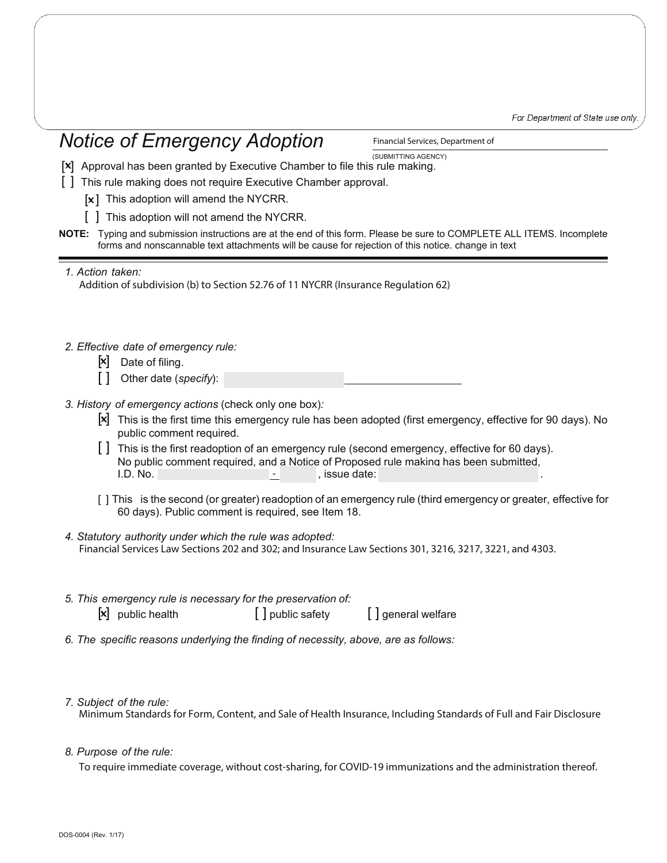For Department of State use only.

# *Notice of Emergency Adoption* Financial Services, Department of

- (SUBMITTING AGENCY) [x] Approval has been granted by Executive Chamber to file this rule making.
- [] This rule making does not require Executive Chamber approval.
	- $[x]$  This adoption will amend the NYCRR.
	- [] This adoption will not amend the NYCRR.
- **NOTE:** Typing and submission instructions are at the end of this form. Please be sure to COMPLETE ALL ITEMS. Incomplete forms and nonscannable text attachments will be cause for rejection of this notice. change in text

#### *1. Action taken:*

Addition of subdivision (b) to Section 52.76 of 11 NYCRR (Insurance Regulation 62)

- *2. Effective date of emergency rule:* 
	- $\mathsf{\tilde{X}}$  Date of filing.
	- [ ] Other date (*specify*):
- *3. History of emergency actions* (check only one box)*:* 
	- [x] This is the first time this emergency rule has been adopted (first emergency, effective for 90 days). No public comment required.
	- [] This is the first readoption of an emergency rule (second emergency, effective for 60 days). No public comment required, and a Notice of Proposed rule making has been submitted, I.D. No. - , issue date: .
	- [ ] This is the second (or greater) readoption of an emergency rule (third emergency or greater, effective for 60 days). Public comment is required, see Item 18.
- *4. Statutory authority under which the rule was adopted:*  Financial Services Law Sections 202 and 302; and Insurance Law Sections 301, 3216, 3217, 3221, and 4303.
- *5. This emergency rule is necessary for the preservation of:*  [x] public health  $\begin{bmatrix} 1 \end{bmatrix}$  public safety  $\begin{bmatrix} 1 \end{bmatrix}$  general welfare
- *6. The specific reasons underlying the finding of necessity, above, are as follows:*
- *7. Subject of the rule:*

Minimum Standards for Form, Content, and Sale of Health Insurance, Including Standards of Full and Fair Disclosure

*8. Purpose of the rule:* 

To require immediate coverage, without cost-sharing, for COVID-19 immunizations and the administration thereof.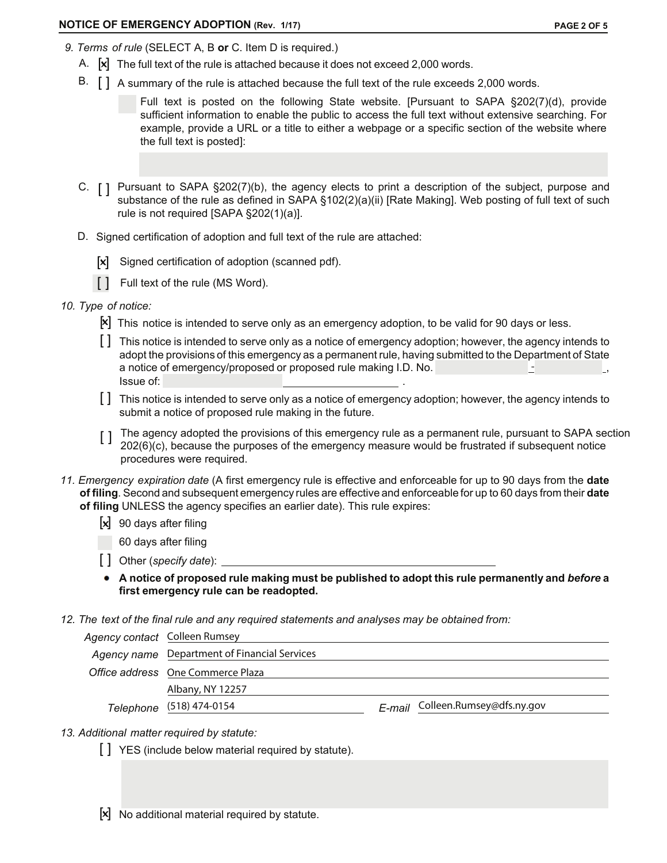- *9. Terms of rule* (SELECT A, B **or** C. Item D is required.)
	- A.  $[x]$  The full text of the rule is attached because it does not exceed 2,000 words.
	- B.  $\lceil$  | A summary of the rule is attached because the full text of the rule exceeds 2,000 words.

Full text is posted on the following State website. [Pursuant to SAPA §202(7)(d), provide sufficient information to enable the public to access the full text without extensive searching. For example, provide a URL or a title to either a webpage or a specific section of the website where the full text is posted]:

- C. [] Pursuant to SAPA §202(7)(b), the agency elects to print a description of the subject, purpose and substance of the rule as defined in SAPA §102(2)(a)(ii) [Rate Making]. Web posting of full text of such rule is not required [SAPA §202(1)(a)].
- D. Signed certification of adoption and full text of the rule are attached:
	- [x] Signed certification of adoption (scanned pdf).
	- [] Full text of the rule (MS Word).
- *10. Type of notice:* 
	- $[x]$  This notice is intended to serve only as an emergency adoption, to be valid for 90 days or less.
	- [] This notice is intended to serve only as a notice of emergency adoption; however, the agency intends to adopt the provisions of this emergency as a permanent rule, having submitted to the Department of State a notice of emergency/proposed or proposed rule making I.D. No. Issue of: .
	- [] This notice is intended to serve only as a notice of emergency adoption; however, the agency intends to submit a notice of proposed rule making in the future.
	- $\begin{bmatrix} 1 \end{bmatrix}$  The agency adopted the provisions of this emergency rule as a permanent rule, pursuant to SAPA section  $\begin{bmatrix} 202(6)(c) \end{bmatrix}$ , because the purposes of the emergency measure would be frustrated if subsequ procedures were required.
- *11. Emergency expiration date* (A first emergency rule is effective and enforceable for up to 90 days from the **date of filing**. Second and subsequent emergency rules are effective and enforceable for up to 60 days from their **date of filing** UNLESS the agency specifies an earlier date). This rule expires:
	- $\mathbf{\mathbf{\times}}$  90 days after filing
	- 60 days after filing
	- [] Other (*specify date*):
	- **A notice of proposed rule making must be published to adopt this rule permanently and** *before* **a first emergency rule can be readopted.**
- *12. The text of the final rule and any required statements and analyses may be obtained from:*

| Agency contact Colleen Rumsey |                                              |                                  |  |  |  |
|-------------------------------|----------------------------------------------|----------------------------------|--|--|--|
|                               | Agency name Department of Financial Services |                                  |  |  |  |
|                               | Office address One Commerce Plaza            |                                  |  |  |  |
|                               | Albany, NY 12257                             |                                  |  |  |  |
|                               | Telephone (518) 474-0154                     | E-mail Colleen.Rumsey@dfs.ny.gov |  |  |  |

- *13. Additional matter required by statute:* 
	- [] YES (include below material required by statute).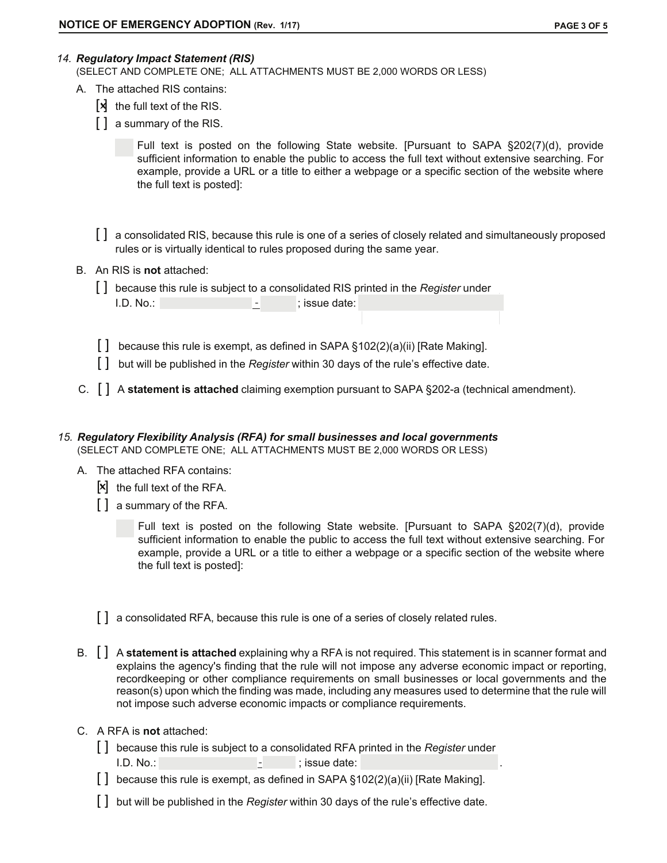#### *14. Regulatory Impact Statement (RIS)*

(SELECT AND COMPLETE ONE; ALL ATTACHMENTS MUST BE 2,000 WORDS OR LESS)

- A. The attached RIS contains:
	- $\vert \mathbf{A} \vert$  the full text of the RIS.
	- [ ] a summary of the RIS.

Full text is posted on the following State website. [Pursuant to SAPA §202(7)(d), provide sufficient information to enable the public to access the full text without extensive searching. For example, provide a URL or a title to either a webpage or a specific section of the website where the full text is posted]:

| a consolidated RIS, because this rule is one of a series of closely related and simultaneously proposed rules or is virtually identical to rules proposed during the same year.

### B. An RIS is **not** attached:

- I.D. No.: in the same state of  $\sim$  ; issue date: [ ] because this rule is subject to a consolidated RIS printed in the *Register* under
- [] because this rule is exempt, as defined in SAPA §102(2)(a)(ii) [Rate Making].
- [] but will be published in the *Register* within 30 days of the rule's effective date.
- C. [] A **statement is attached** claiming exemption pursuant to SAPA §202-a (technical amendment).
- *15. Regulatory Flexibility Analysis (RFA) for small businesses and local governments* (SELECT AND COMPLETE ONE; ALL ATTACHMENTS MUST BE 2,000 WORDS OR LESS)
	- A. The attached RFA contains:
		- $\mathbf{\hat{x}}$  the full text of the RFA.
		- [] a summary of the RFA.

Full text is posted on the following State website. [Pursuant to SAPA §202(7)(d), provide sufficient information to enable the public to access the full text without extensive searching. For example, provide a URL or a title to either a webpage or a specific section of the website where the full text is posted]:

- [] a consolidated RFA, because this rule is one of a series of closely related rules.
- B. [] A **statement is attached** explaining why a RFA is not required. This statement is in scanner format and explains the agency's finding that the rule will not impose any adverse economic impact or reporting, recordkeeping or other compliance requirements on small businesses or local governments and the reason(s) upon which the finding was made, including any measures used to determine that the rule will not impose such adverse economic impacts or compliance requirements.
- C. A RFA is **not** attached:
	- [] because this rule is subject to a consolidated RFA printed in the *Register* under I.D. No.: **implementary in the contract of the contract of the contract of the contract of the contract of the contract of the contract of the contract of the contract of the contract of the contract of the contract of the**
	- [] because this rule is exempt, as defined in SAPA §102(2)(a)(ii) [Rate Making].
	- [] but will be published in the *Register* within 30 days of the rule's effective date.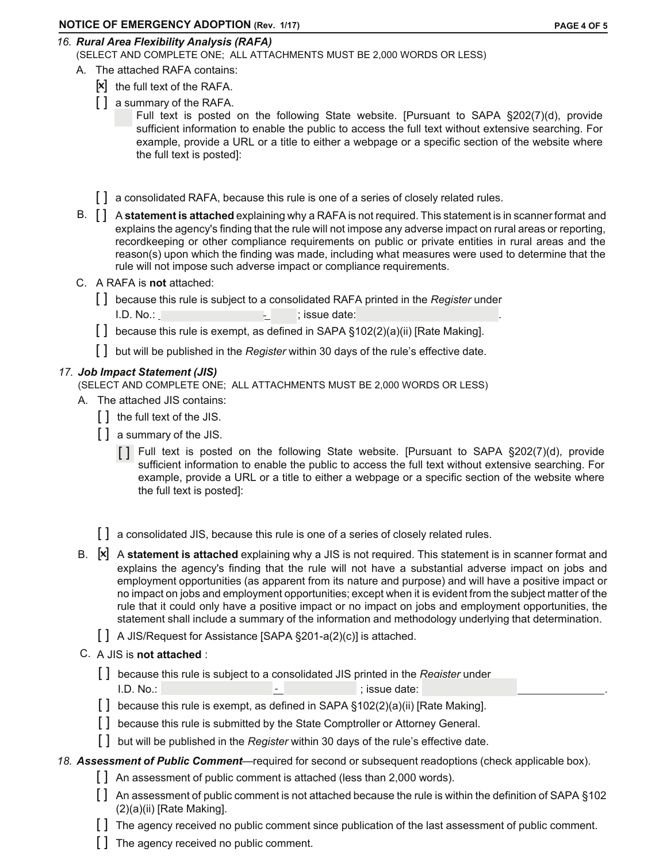# *16. Rural Area Flexibility Analysis (RAFA)*

(SELECT AND COMPLETE ONE; ALL ATTACHMENTS MUST BE 2,000 WORDS OR LESS)

- A. The attached RAFA contains:
	- $\mathbf{\hat{X}}$  the full text of the RAFA.
	- [] a summary of the RAFA.
		- Full text is posted on the following State website. [Pursuant to SAPA §202(7)(d), provide sufficient information to enable the public to access the full text without extensive searching. For example, provide a URL or a title to either a webpage or a specific section of the website where the full text is posted]:
	- [] a consolidated RAFA, because this rule is one of a series of closely related rules.
- B. [] A **statement is attached** explaining why a RAFA is not required. This statement is in scanner format and explains the agency's finding that the rule will not impose any adverse impact on rural areas or reporting, recordkeeping or other compliance requirements on public or private entities in rural areas and the reason(s) upon which the finding was made, including what measures were used to determine that the rule will not impose such adverse impact or compliance requirements.
- C. A RAFA is **not** attached:
	- ; issue date: . [] because this rule is subject to a consolidated RAFA printed in the *Register* under  $I.D. No.:$
	- $\lceil \cdot \rceil$  because this rule is exempt, as defined in SAPA §102(2)(a)(ii) [Rate Making].
	- [] but will be published in the *Register* within 30 days of the rule's effective date.

# *17. Job Impact Statement (JIS)*

(SELECT AND COMPLETE ONE; ALL ATTACHMENTS MUST BE 2,000 WORDS OR LESS)

- A. The attached JIS contains:
	- $\vert \vert$  the full text of the JIS.
	- [] a summary of the JIS.
		- Full text is posted on the following State website. [Pursuant to SAPA §202(7)(d), provide [] sufficient information to enable the public to access the full text without extensive searching. For example, provide a URL or a title to either a webpage or a specific section of the website where the full text is posted]:
	- [] a consolidated JIS, because this rule is one of a series of closely related rules.
- B. **[x]** A **statement is attached** explaining why a JIS is not required. This statement is in scanner format and explains the agency's finding that the rule will not have a substantial adverse impact on jobs and employment opportunities (as apparent from its nature and purpose) and will have a positive impact or no impact on jobs and employment opportunities; except when it is evident from the subject matter of the rule that it could only have a positive impact or no impact on jobs and employment opportunities, the statement shall include a summary of the information and methodology underlying that determination.
	- [] A JIS/Request for Assistance [SAPA §201-a(2)(c)] is attached.
- C. A JIS is **not attached** :
	- [] because this rule is subject to a consolidated JIS printed in the *Register* under I.D. No.:  $\qquad \qquad$  ; issue date:
	- [ ] because this rule is exempt, as defined in SAPA  $\S102(2)(a)(ii)$  [Rate Making].
	- [] because this rule is submitted by the State Comptroller or Attorney General.
	- [] but will be published in the *Register* within 30 days of the rule's effective date.
- *18. Assessment of Public Comment*—required for second or subsequent readoptions (check applicable box).
	- [] An assessment of public comment is attached (less than 2,000 words).
	- [] An assessment of public comment is not attached because the rule is within the definition of SAPA §102 (2)(a)(ii) [Rate Making].
	- [] The agency received no public comment since publication of the last assessment of public comment.
	- [] The agency received no public comment.